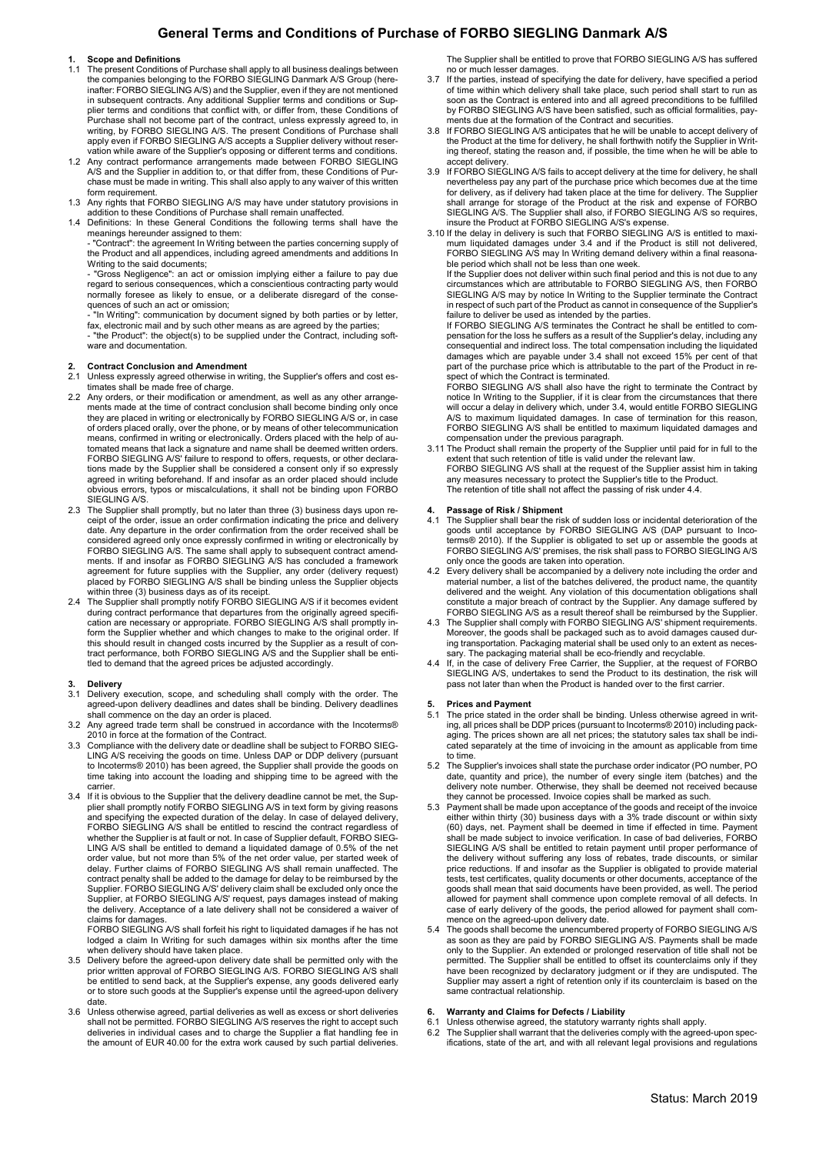# General Terms and Conditions of Purchase of FORBO SIEGLING Danmark A/S

### **Scope and Definitions**

- 1.1 The present Conditions of Purchase shall apply to all business dealings between the companies belonging to the FORBO SIEGLING Danmark A/S Group (hereinafter: FORBO SIEGLING A/S) and the Supplier, even if they are not mentioned in subsequent contracts. Any additional Supplier terms and conditions or Supplier terms and conditions that conflict with, or differ from, these Conditions of Purchase shall not become part of the contract, unless expressly agreed to, in<br>writing, by FORBO SIEGLING A/S. The present Conditions of Purchase shall<br>apply even if FORBO SIEGLING A/S accepts a Supplier delivery without r
- A/S and the Supplier in addition to, or that differ from, these Conditions of Purchase must be made in writing. This shall also apply to any waiver of this written form requirement.
- 1.3 Any rights that FORBO SIEGLING A/S may have under statutory provisions in addition to these Conditions of Purchase shall remain unaffected.
- 1.4 Definitions: In these General Conditions the following terms shall have the meanings hereunder assigned to them: - "Contract": the agreement In Writing between the parties concerning supply of

the Product and all appendices, including agreed amendments and additions In Writing to the said documents;

- "Gross Negligence": an act or omission implying either a failure to pay due regard to serious consequences, which a conscientious contracting party would normally foresee as likely to ensue, or a deliberate disregard of the consequences of such an act or omission;

- "In Writing": communication by document signed by both parties or by letter, fax, electronic mail and by such other means as are agreed by the parties - "the Product": the object(s) to be supplied under the Contract, including software and documentation

### 2. Contract Conclusion and Amendment

- 2.1 Unless expressly agreed otherwise in writing, the Supplier's offers and cost es-
- timates shall be made free of charge. 2.2 Any orders, or their modification or amendment, as well as any other arrangements made at the time of contract conclusion shall become binding only once they are placed in writing or electronically by FORBO SIEGLING A/S or, in case of orders placed orally, over the phone, or by means of other telecommunication means, confirmed in writing or electronically. Orders placed with the help of automated means that lack a signature and name shall be deemed written orders. FORBO SIEGLING A/S' failure to respond to offers, requests, or other declarations made by the Supplier shall be considered a consent only if so expressly agreed in writing beforehand. If and insofar as an order placed should include obvious errors, typos or miscalculations, it shall not be binding upon FORBO SIEGLING A/S
- 2.3 The Supplier shall promptly, but no later than three (3) business days upon re-ceipt of the order, issue an order confirmation indicating the price and delivery date. Any departure in the order confirmation from the order received shall be considered agreed only once expressly confirmed in writing or electronically by FORBO SIEGLING A/S. The same shall apply to subsequent contract amend-ments. If and insofar as FORBO SIEGLING A/S has concluded a framework agreement for future supplies with the Supplier, any order (delivery request) placed by FORBO SIEGLING A/S shall be binding unless the Supplier objects within three (3) business days as of its receipt.
- 2.4 The Supplier shall promptly notify FORBO SIEGLING A/S if it becomes evident during contract performance that departures from the originally agreed specification are necessary or appropriate. FORBO SIEGLING A/S shall promptly inform the Supplier whether and which changes to make to the original order. If this should result in changed costs incurred by the Supplier as a result of contract performance, both FORBO SIEGLING A/S and the Supplier shall be entitled to demand that the agreed prices be adjusted accordingly.

### **Delivery**

- 3.1 Delivery execution, scope, and scheduling shall comply with the order. The agreed-upon delivery deadlines and dates shall be binding. Delivery deadlines shall commence on the day an order is placed.
- 3.2 Any agreed trade term shall be construed in accordance with the Incoterms® 2010 in force at the formation of the Contract.
- Compliance with the delivery date or deadline shall be subject to FORBO SIEG-LING A/S receiving the goods on time. Unless DAP or DDP delivery (pursuant to Incoterms® 2010) has been agreed, the Supplier shall provide the goods on time taking into account the loading and shipping time to be agreed with the carrier.
- 3.4 If it is obvious to the Supplier that the delivery deadline cannot be met, the Supplier shall promptly notify FORBO SIEGLING A/S in text form by giving reasons and specifying the expected duration of the delay. In case whether the Supplier is at fault or not. In case of Supplier default, FORBO SIEG-LING A/S shall be entitled to demand a liquidated damage of 0.5% of the net order value, but not more than 5% of the net order value, per started week of delay. Further claims of FORBO SIEGLING A/S shall remain unaffected. The contract penalty shall be added to the damage for delay to be reimbursed by the Supplier. FORBO SIEGLING A/S' delivery claim shall be excluded only once the Supplier, at FORBO SIEGLING A/S' request, pays damages instead of making the delivery. Acceptance of a late delivery shall not be considered a waiver of claims for damages.

FORBO SIEGLING A/S shall forfeit his right to liquidated damages if he has not lodged a claim In Writing for such damages within six months after the time when delivery should have taken place.

- 3.5 Delivery before the agreed-upon delivery date shall be permitted only with the prior written approval of FORBO SIEGLING A/S. FORBO SIEGLING A/S shall be entitled to send back, at the Supplier's expense, any goods deliv or to store such goods at the Supplier's expense until the agreed-upon delivery date.
- 3.6 Unless otherwise agreed, partial deliveries as well as excess or short deliveries shall not be permitted. FORBO SIEGLING A/S reserves the right to accept such deliveries in individual cases and to charge the Supplier a flat handling fee in the amount of EUR 40.00 for the extra work caused by such partial deliveries.

The Supplier shall be entitled to prove that FORBO SIEGLING A/S has suffered no or much lesser damages.

- 3.7 If the parties, instead of specifying the date for delivery, have specified a period of time within which delivery shall take place, such period shall start to run as soon as the Contract is entered into and all agreed preconditions to be fulfilled by FORBO SIEGLING A/S have been satisfied, such as official formalities, payments due at the formation of the Contract and securities.
- 3.8 If FORBO SIEGLING A/S anticipates that he will be unable to accept delivery of the Product at the time for delivery, he shall forthwith notify the Supplier in Writ-ing thereof, stating the reason and, if possible, the time when he will be able to accept delivery.
- 3.9 If FORBO SIEGLING A/S fails to accept delivery at the time for delivery, he shall nevertheless pay any part of the purchase price which becomes due at the time for delivery, as if delivery had taken place at the time f shall arrange for storage of the Product at the risk and expense of FORBO SIEGLING A/S. The Supplier shall also, if FORBO SIEGLING A/S so requires, insure the Product at FORBO SIEGLING A/S's expense.
- 3.10 If the delay in delivery is such that FORBO SIEGLING A/S is entitled to maxi-mum liquidated damages under 3.4 and if the Product is still not delivered, FORBO SIEGLING A/S may In Writing demand delivery within a final reasonable period which shall not be less than one week.

If the Supplier does not deliver within such final period and this is not due to any circumstances which are attributable to FORBO SIEGLING A/S, then FORBO SIEGLING A/S may by notice In Writing to the Supplier terminate the Contract in respect of such part of the Product as cannot in consequence of the Supplier's failure to deliver be used as intended by the parties.

If FORBO SIEGLING A/S terminates the Contract he shall be entitled to com-pensation for the loss he suffers as a result of the Supplier's delay, including any consequential and indirect loss. The total compensation including the liquidated damages which are payable under 3.4 shall not exceed 15% per cent of that part of the purchase price which is attributable to the part of the Product in respect of which the Contract is terminated.

FORBO SIEGLING A/S shall also have the right to terminate the Contract by notice In Writing to the Supplier, if it is clear from the circumstances that there will occur a delay in delivery which, under 3.4, would entitle FORBO SIEGLING A/S to maximum liquidated damages. In case of termination for this reason, FORBO SIEGLING A/S shall be entitled to maximum liquidated damages and compensation under the previous paragraph.

3.11 The Product shall remain the property of the Supplier until paid for in full to the extent that such retention of title is valid under the relevant law. FORBO SIEGLING A/S shall at the request of the Supplier assist him in taking any measures necessary to protect the Supplier's title to the Product. The retention of title shall not affect the passing of risk under 4.4.

- 4. Passage of Risk / Shipment<br>4.1 The Supplier shall bear the risk of sudden loss or incidental deterioration of the goods until acceptance by FORBO SIEGLING A/S (DAP pursuant to Incoterms® 2010). If the Supplier is obligated to set up or assemble the goods at FORBO SIEGLING A/S' premises, the risk shall pass to FORBO SIEGLING A/S only once the goods are taken into operation.
- 4.2 Every delivery shall be accompanied by a delivery note including the order and material number, a list of the batches delivered, the product name, the quantity delivered and the weight. Any violation of this documentation obligations shall constitute a major breach of contract by the Supplier. Any damage suffered by FORBO SIEGLING A/S as a result thereof shall be reimbursed by the Supplier.
- The Supplier shall comply with FORBO SIEGLING A/S' shipment requirements. Moreover, the goods shall be packaged such as to avoid damages caused dur-ing transportation. Packaging material shall be used only to an extent as necessary. The packaging material shall be eco-friendly and recyclable.
- 4.4 If, in the case of delivery Free Carrier, the Supplier, at the request of FORBO SIEGLING A/S, undertakes to send the Product to its destination, the risk will pass not later than when the Product is handed over to the first carrier

### 5. Prices and Payment

- 5.1 The price stated in the order shall be binding. Unless otherwise agreed in writing, all prices shall be DDP prices (pursuant to Incoterms® 2010) including packaging. The prices shown are all net prices; the statutory sales tax shall be indicated separately at the time of invoicing in the amount as applicable from time to time.
- 5.2 The Supplier's invoices shall state the purchase order indicator (PO number, PO date, quantity and price), the number of every single item (batches) and the delivery note number. Otherwise, they shall be deemed not received because they cannot be processed. Invoice copies shall be marked as such.
- 5.3 Payment shall be made upon acceptance of the goods and receipt of the invoice either within thirty (30) business days with a 3% trade discount or within sixty (60) days, net. Payment shall be deemed in time if effected in time. Payment shall be made subject to invoice verification. In case of bad deliveries, FORBO<br>SIEGLING A/S shall be entitled to retain payment until proper performance of<br>the delivery without suffering any loss of rebates, trade discoun price reductions. If and insofar as the Supplier is obligated to provide material tests, test certificates, quality documents or other documents, acceptance of the goods shall mean that said documents have been provided, as well. The period allowed for payment shall commence upon complete removal of all defects. In case of early delivery of the goods, the period allowed for payment shall com-mence on the agreed-upon delivery date.
- 5.4 The goods shall become the unencumbered property of FORBO SIEGLING A/S<br>as soon as they are paid by FORBO SIEGLING A/S. Payments shall be made<br>only to the Supplier. An extended or prolonged reservation of title shall no permitted. The Supplier shall be entitled to offset its counterclaims only if they have been recognized by declaratory judgment or if they are undisputed. The Supplier may assert a right of retention only if its counterclaim is based on the same contractual relationship.

## 6. Warranty and Claims for Defects / Liability

- 6.1 Unless otherwise agreed, the statutory warranty rights shall apply.
- 6.2 The Supplier shall warrant that the deliveries comply with the agreed-upon specifications, state of the art, and with all relevant legal provisions and regulations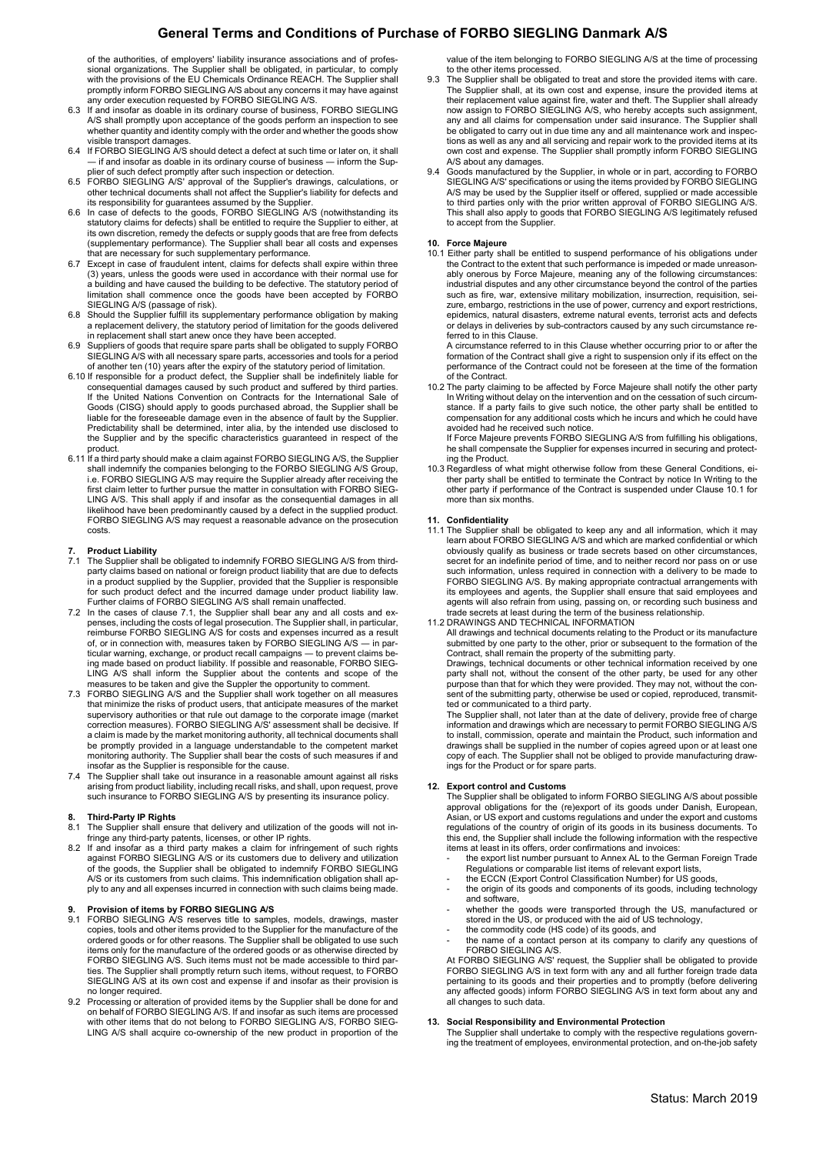# General Terms and Conditions of Purchase of FORBO SIEGLING Danmark A/S

of the authorities, of employers' liability insurance associations and of professional organizations. The Supplier shall be obligated, in particular, to comply with the provisions of the EU Chemicals Ordinance REACH. The Supplier shall promptly inform FORBO SIEGLING A/S about any concerns it may have against any order execution requested by FORBO SIEGLING A/S.

- 6.3 If and insofar as doable in its ordinary course of business, FORBO SIEGLING A/S shall promptly upon acceptance of the goods perform an inspection to see whether quantity and identity comply with the order and whether the goods show visible transport damages.
- 6.4 If FORBO SIEGLING A/S should detect a defect at such time or later on, it shall<br>— if and insofar as doable in its ordinary course of business inform the Sun-If and insofar as doable in its ordinary course of business -
- plier of such defect promptly after such inspection or detection.<br>6.5 FORBO SIEGLING A/S' approval of the Supplier's drawings, calculations, or<br>other technical documents shall not affect the Supplier's liability for defect
- its responsibility for guarantees assumed by the Supplier. 6.6 In case of defects to the goods, FORBO SIEGLING A/S (notwithstanding its statutory claims for defects) shall be entitled to require the Supplier to either, at its own discretion, remedy the defects or supply goods that are free from defects (supplementary performance). The Supplier shall bear all costs and expenses that are necessary for such supplementary performance.
- 6.7 Except in case of fraudulent intent, claims for defects shall expire within three (3) years, unless the goods were used in accordance with their normal use for a building and have caused the building to be defective. The statutory period of limitation shall commence once the goods have been accepted by FORBO SIEGLING A/S (passage of risk).
- 6.8 Should the Supplier fulfill its supplementary performance obligation by making a replacement delivery, the statutory period of limitation for the goods delivered in replacement shall start anew once they have been accepted.
- Suppliers of goods that require spare parts shall be obligated to supply FORBO SIEGLING A/S with all necessary spare parts, accessories and tools for a period
- of another ten (10) years after the expiry of the statutory period of limitation. 6.10 If responsible for a product defect, the Supplier shall be indefinitely liable for consequential damages caused by such product and suffered by third parties. If the United Nations Convention on Contracts for the International Sale of Goods (CISG) should apply to goods purchased abroad, the Supplier shall be liable for the foreseeable damage even in the absence of fault by the Supplier. Predictability shall be determined, inter alia, by the intended use disclosed to the Supplier and by the specific characteristics guaranteed in respect of the
- product. 6.11 If a third party should make a claim against FORBO SIEGLING A/S, the Supplier shall indemnify the companies belonging to the FORBO SIEGLING A/S Group, i.e. FORBO SIEGLING A/S may require the Supplier already after receiving the first claim letter to further pursue the matter in consultation with FORBO SIEG-LING A/S. This shall apply if and insofar as the consequential damages in all likelihood have been predominantly caused by a defect in the supplied product. FORBO SIEGLING A/S may request a reasonable advance on the prosecution costs.

### **Product Liability**

- 7.1 The Supplier shall be obligated to indemnify FORBO SIEGLING A/S from thirdparty claims based on national or foreign product liability that are due to defects<br>in a product supplied by the Supplier, provided that the Supplier is responsible<br>for such product defect and the incurred damage under pro
- Further claims of FORBO SIEGLING A/S shall remain unaffected. 7.2 In the cases of clause 7.1, the Supplier shall bear any and all costs and expenses, including the costs of legal prosecution. The Supplier shall, in particular, reimburse FORBO SIEGLING A/S for costs and expenses incurred as a result of, or in connection with, measures taken by FORBO SIEGLING A/S ― in particular warning, exchange, or product recall campaigns ― to prevent claims being made based on product liability. If possible and reasonable, FORBO SIEG-LING A/S shall inform the Supplier about the contents and scope of the measures to be taken and give the Suppler the opportunity to comment.
- 7.3 FORBO SIEGLING A/S and the Supplier shall work together on all measures that minimize the risks of product users, that anticipate measures of the market supervisory authorities or that rule out damage to the corporate image (market correction measures). FORBO SIEGLING A/S' assessment shall be decisive. If a claim is made by the market monitoring authority, all technical documents shall be promptly provided in a language understandable to the competent market monitoring authority. The Supplier shall bear the costs of such measures if and insofar as the Supplier is responsible for the cause.
- 7.4 The Supplier shall take out insurance in a reasonable amount against all risks arising from product liability, including recall risks, and shall, upon request, prove such insurance to FORBO SIEGLING A/S by presenting its insurance policy.

# 8. Third-Party IP Rights<br>8.1 The Supplier shall ens

- The Supplier shall ensure that delivery and utilization of the goods will not infringe any third-party patents, licenses, or other IP rights.
- 8.2 If and insofar as a third party makes a claim for infringement of such rights against FORBO SIEGLING A/S or its customers due to delivery and utilization of the goods, the Supplier shall be obligated to indemnify FORBO SIEGLING A/S or its customers from such claims. This indemnification obligation shall apply to any and all expenses incurred in connection with such claims being made.

### 9. Provision of items by FORBO SIEGLING A/S

- 9.1 FORBO SIEGLING A/S reserves title to samples, models, drawings, master copies, tools and other items provided to the Supplier for the manufacture of the ordered goods or for other reasons. The Supplier shall be obligated to use such items only for the manufacture of the ordered goods or as otherwise directed by FORBO SIEGLING A/S. Such items must not be made accessible to third parties. The Supplier shall promptly return such items, without request, to FORBO SIEGLING A/S at its own cost and expense if and insofar as their provision is no longer required.
- 9.2 Processing or alteration of provided items by the Supplier shall be done for and on behalf of FORBO SIEGLING A/S. If and insofar as such items are processed with other items that do not belong to FORBO SIEGLING A/S, FORBO SIEG-LING A/S shall acquire co-ownership of the new product in proportion of the

value of the item belonging to FORBO SIEGLING A/S at the time of processing to the other items processed.

- 9.3 The Supplier shall be obligated to treat and store the provided items with care. The Supplier shall, at its own cost and expense, insure the provided items at<br>their replacement value against fire, water and theft. The Supplier shall already<br>now assign to FORBO SIEGLING A/S, who hereby accepts such assi any and all claims for compensation under said insurance. The Supplier shall be obligated to carry out in due time any and all maintenance work and inspections as well as any and all servicing and repair work to the provided items at its own cost and expense. The Supplier shall promptly inform FORBO SIEGLING A/S about any damages.
- 9.4 Goods manufactured by the Supplier, in whole or in part, according to FORBO<br>SIEGLING A/S' specifications or using the items provided by FORBO SIEGLING<br>A/S may be used by the Supplier itself or offered, supplied or made to third parties only with the prior written approval of FORBO SIEGLING A/S. This shall also apply to goods that FORBO SIEGLING A/S legitimately refused to accept from the Supplier.

### 10. Force Majeure

10.1 Either party shall be entitled to suspend performance of his obligations under the Contract to the extent that such performance is impeded or made unreason-<br>ably onerous by Force Majeure, meaning any of the following circumstances:<br>industrial disputes and any other circumstance beyond the control of such as fire, war, extensive military mobilization, insurrection, requisition, seizure, embargo, restrictions in the use of power, currency and export restrictions, epidemics, natural disasters, extreme natural events, terrorist acts and defects or delays in deliveries by sub-contractors caused by any such circumstance referred to in this Clause.

A circumstance referred to in this Clause whether occurring prior to or after the formation of the Contract shall give a right to suspension only if its effect on the performance of the Contract could not be foreseen at the time of the formation .<br>of the Contract

10.2 The party claiming to be affected by Force Majeure shall notify the other party<br>In Writing without delay on the intervention and on the cessation of such circum-<br>stance. If a party fails to give such notice, the other compensation for any additional costs which he incurs and which he could have avoided had he received such notice.

If Force Majeure prevents FORBO SIEGLING A/S from fulfilling his obligations, he shall compensate the Supplier for expenses incurred in securing and protecting the Product.

10.3 Regardless of what might otherwise follow from these General Conditions, either party shall be entitled to terminate the Contract by notice In Writing to the other party if performance of the Contract is suspended under Clause 10.1 for more than six months

### 11. Confidentiality

- 11.1 The Supplier shall be obligated to keep any and all information, which it may learn about FORBO SIEGLING A/S and which are marked confidential or which obviously qualify as business or trade secrets based on other circumstances, secret for an indefinite period of time, and to neither record nor pass on or use such information, unless required in connection with a delivery to be made to FORBO SIEGLING A/S. By making appropriate contractual arrangements with its employees and agents, the Supplier shall ensure that said employees and agents will also refrain from using, passing on, or recording such business and trade secrets at least during the term of the business relationship.
- 11.2 DRAWINGS AND TECHNICAL INFORMATION

All drawings and technical documents relating to the Product or its manufacture submitted by one party to the other, prior or subsequent to the formation of the Contract, shall remain the property of the submitting party.

Drawings, technical documents or other technical information received by one party shall not, without the consent of the other party, be used for any other purpose than that for which they were provided. They may not, without the consent of the submitting party, otherwise be used or copied, reproduced, transmit-ted or communicated to a third party.

The Supplier shall, not later than at the date of delivery, provide free of charge information and drawings which are necessary to permit FORBO SIEGLING A/S to install, commission, operate and maintain the Product, such information and drawings shall be supplied in the number of copies agreed upon or at least one copy of each. The Supplier shall not be obliged to provide manufacturing drawings for the Product or for spare parts.

### 12. Export control and Customs

The Supplier shall be obligated to inform FORBO SIEGLING A/S about possible approval obligations for the (re)export of its goods under Danish, European, Asian, or US export of its goods under the export and customs.<br>Asian, this end, the Supplier shall include the following information with the respective items at least in its offers, order confirmations and invoices:

- the export list number pursuant to Annex AL to the German Foreign Trade
- Regulations or comparable list items of relevant export lists, the ECCN (Export Control Classification Number) for US goods,
- the origin of its goods and components of its goods, including technology and software,
- whether the goods were transported through the US, manufactured or
- stored in the US, or produced with the aid of US technology,
- the commodity code (HS code) of its goods, and
- the name of a contact person at its company to clarify any questions of FORBO SIEGLING A/S.

At FORBO SIEGLING A/S' request, the Supplier shall be obligated to provide FORBO SIEGLING A/S in text form with any and all further foreign trade data pertaining to its goods and their properties and to promptly (before delivering any affected goods) inform FORBO SIEGLING A/S in text form about any and all changes to such data.

### 13. Social Responsibility and Environmental Protection

The Supplier shall undertake to comply with the respective regulations govern-ing the treatment of employees, environmental protection, and on-the-job safety